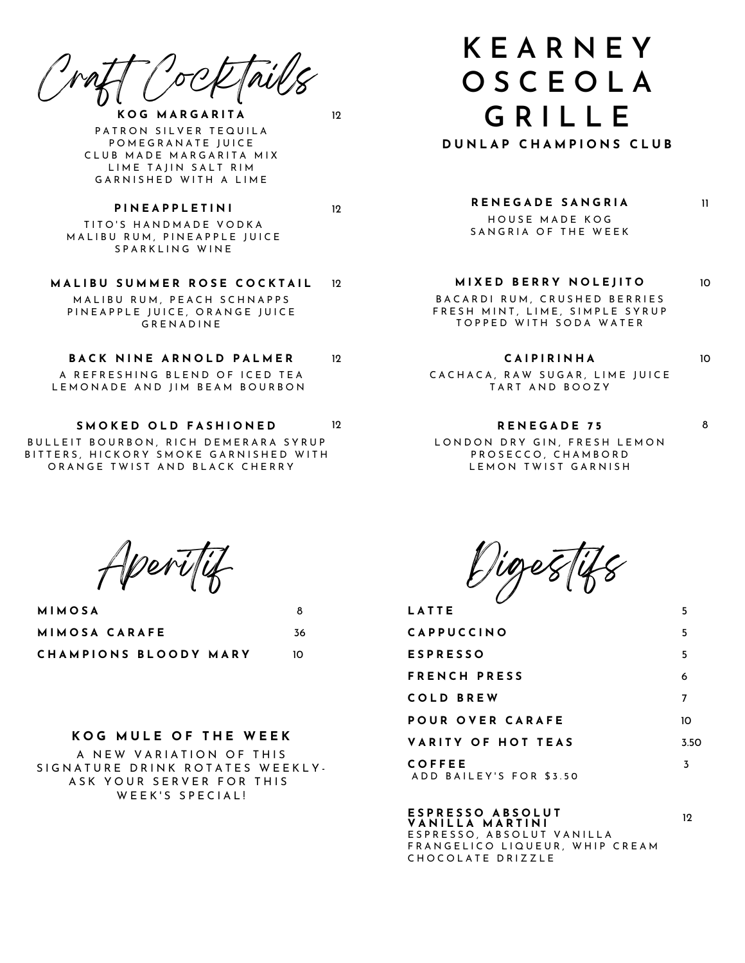Craft Cocktails

**K O G M A R G A R I T A** PATRON SILVER TEQUILA POMEGRANATE JUICE CLUB MADE MARGARITA MIX LIME TAJIN SALT RIM GARNISHED WITH A LIME

12

12

TITO'S HANDMADE VODKA MALIBU RUM, PINEAPPLE JUICE SPARKLING WINE

**P I N E A P P L E T I N I**

**M A L I B U S U M M E R R O S E C O C K T A I L** M AL I BU R U M P F A C H S C H N A P P S PIN EAPPLE JUICE, ORANGE JUICE **GRENADINE**  $12$ 

#### **B A C K N I N E A R N O L D P A L M E R** 12

A REFRESHING BLEND OF ICED TEA LEMONADE AND JIM BEAM BOURBON

**S M O K E D O L D F A S H I O N E D** 12

BULLEIT BOURBON, RICH DEMERARA SYRUP BITTERS, HICKORY SMOKE GARNISHED WITH ORANGE TWIST AND BLACK CHERRY

# **K E A R N E Y O S C E O L A G R I L L E**

**D U N L A P C H A M P I O N S C L U B**

#### **R E N E G A D E S A N G R I A**

HOUSE MADE KOG SANGRIA OF THE WEEK

#### **M I X E D B E R R Y N O L E J I T O** 10

B A C A R D I R U M , C R U S H E D B E R R I E S FRESH MINT, LIME, SIMPLE SYRUP TOPPED WITH SODA WATER

#### **C A I P I R I N H A**

CACHACA, RAW SUGAR, LIME JUICE TART AND BOOZY

# **R E N E G A D E 7 5** LONDON DRY GIN, FRESH LEMON

5

11

10

8

12

PROSECCO, CHAMBORD LEMON TWIST GARNISH

Aperitif

| <b>MIMOSA</b>         | 8  |
|-----------------------|----|
| MIMOSA CARAFE         | 36 |
| CHAMPIONS BLOODY MARY | 10 |

## **K O G M U L E O F T H E W E E K**

A NEW VARIATION OF THIS SIGNATURE DRINK ROTATES WEEKLY-ASK YOUR SERVER FOR THIS WEEK'S SPECIAL!

Digestifs

**L A T T E**

| <b>CAPPUCCINO</b>                 | 5    |
|-----------------------------------|------|
| <b>ESPRESSO</b>                   | 5    |
| FRENCH PRESS                      | 6    |
| <b>COLD BREW</b>                  | 7    |
| POUR OVER CARAFE                  | 10   |
| VARITY OF HOT TEAS                | 3.50 |
| COFFEE<br>ADD BAILEY'S FOR \$3.50 | 3    |

**E S P R E S S O A B S O L U T V A N I L L A M A R T I N I** E SPRESSO, ABSOLUT VANILLA FRANGELICO LIQUEUR, WHIP CREAM CHOCOLATE DRIZZLE